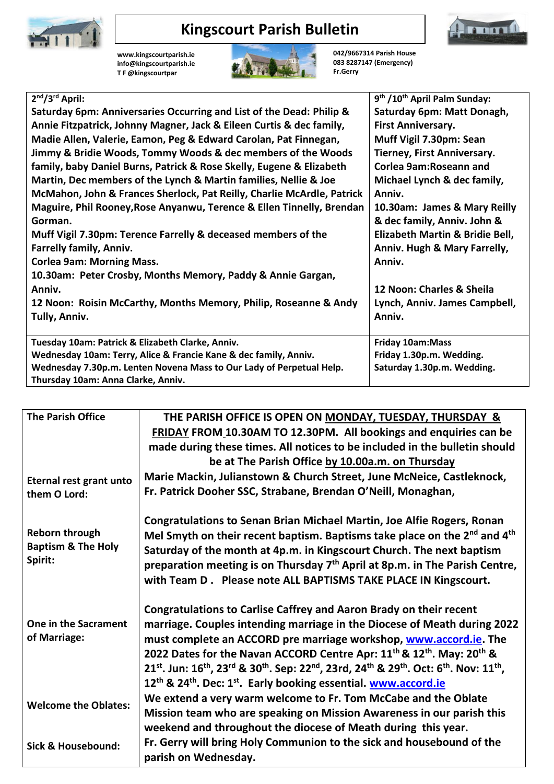

## **Kingscourt Parish Bulletin**

**[www.kingscourtparish.ie](http://www.kingscourtparish.ie/) info@kingscourtparish.ie T F @kingscourtpar** 



**042/9667314 Parish House 083 8287147 (Emergency) Fr.Gerry**

**Immuni** 

| 9 <sup>th</sup> /10 <sup>th</sup> April Palm Sunday: |
|------------------------------------------------------|
| Saturday 6pm: Matt Donagh,                           |
| <b>First Anniversary.</b>                            |
| Muff Vigil 7.30pm: Sean                              |
| <b>Tierney, First Anniversary.</b>                   |
| Corlea 9am: Roseann and                              |
| Michael Lynch & dec family,                          |
| Anniv.                                               |
| 10.30am: James & Mary Reilly                         |
| & dec family, Anniv. John &                          |
| Elizabeth Martin & Bridie Bell,                      |
| Anniv. Hugh & Mary Farrelly,                         |
| Anniv.                                               |
|                                                      |
| 12 Noon: Charles & Sheila                            |
| Lynch, Anniv. James Campbell,                        |
| Anniv.                                               |
|                                                      |
| <b>Friday 10am:Mass</b>                              |
| Friday 1.30p.m. Wedding.                             |
| Saturday 1.30p.m. Wedding.                           |
|                                                      |
|                                                      |

| <b>The Parish Office</b>                                   | THE PARISH OFFICE IS OPEN ON MONDAY, TUESDAY, THURSDAY &<br>FRIDAY FROM 10.30AM TO 12.30PM. All bookings and enquiries can be<br>made during these times. All notices to be included in the bulletin should<br>be at The Parish Office by 10.00a.m. on Thursday                                                                                                                                                           |
|------------------------------------------------------------|---------------------------------------------------------------------------------------------------------------------------------------------------------------------------------------------------------------------------------------------------------------------------------------------------------------------------------------------------------------------------------------------------------------------------|
| Eternal rest grant unto<br>them O Lord:                    | Marie Mackin, Julianstown & Church Street, June McNeice, Castleknock,<br>Fr. Patrick Dooher SSC, Strabane, Brendan O'Neill, Monaghan,                                                                                                                                                                                                                                                                                     |
| Reborn through<br><b>Baptism &amp; The Holy</b><br>Spirit: | <b>Congratulations to Senan Brian Michael Martin, Joe Alfie Rogers, Ronan</b><br>Mel Smyth on their recent baptism. Baptisms take place on the 2 <sup>nd</sup> and 4 <sup>th</sup><br>Saturday of the month at 4p.m. in Kingscourt Church. The next baptism<br>preparation meeting is on Thursday 7 <sup>th</sup> April at 8p.m. in The Parish Centre,<br>with Team D. Please note ALL BAPTISMS TAKE PLACE IN Kingscourt. |
| One in the Sacrament<br>of Marriage:                       | Congratulations to Carlise Caffrey and Aaron Brady on their recent<br>marriage. Couples intending marriage in the Diocese of Meath during 2022<br>must complete an ACCORD pre marriage workshop, www.accord.ie. The<br>2022 Dates for the Navan ACCORD Centre Apr: 11 <sup>th</sup> & 12 <sup>th</sup> . May: 20 <sup>th</sup> &<br>21st. Jun: 16th, 23rd & 30th. Sep: 22nd, 23rd, 24th & 29th. Oct: 6th. Nov: 11th,      |
| <b>Welcome the Oblates:</b>                                | 12 <sup>th</sup> & 24 <sup>th</sup> . Dec: 1 <sup>st</sup> . Early booking essential. www.accord.ie<br>We extend a very warm welcome to Fr. Tom McCabe and the Oblate<br>Mission team who are speaking on Mission Awareness in our parish this                                                                                                                                                                            |
| Sick & Housebound:                                         | weekend and throughout the diocese of Meath during this year.<br>Fr. Gerry will bring Holy Communion to the sick and housebound of the<br>parish on Wednesday.                                                                                                                                                                                                                                                            |